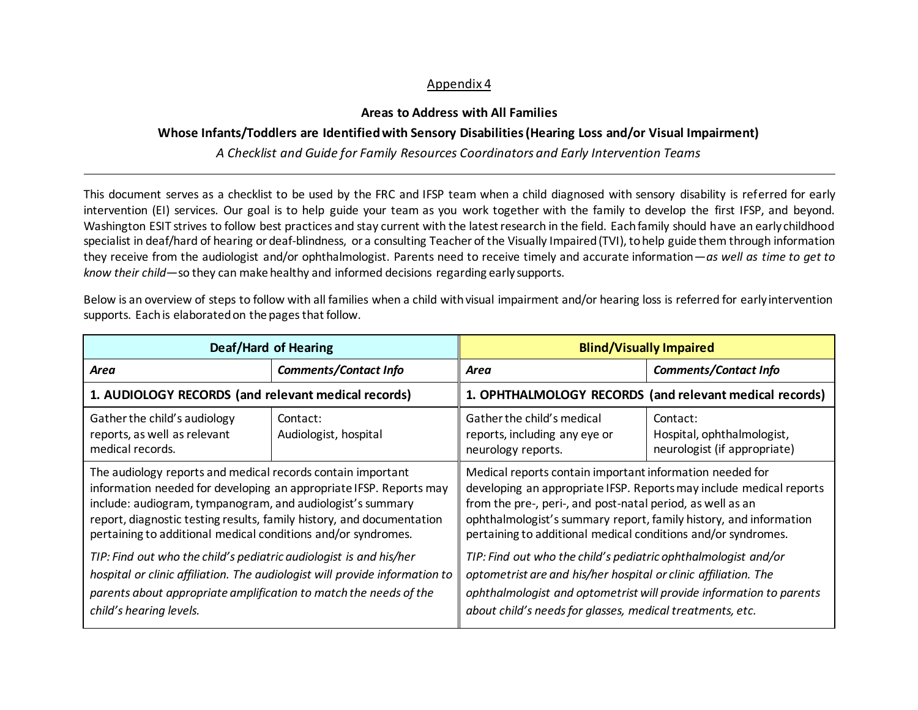## Appendix 4

## **Areas to Address with All Families**

## **Whose Infants/Toddlers are Identified with Sensory Disabilities (Hearing Loss and/or Visual Impairment)**

*A Checklist and Guide for Family Resources Coordinators and Early Intervention Teams*

This document serves as a checklist to be used by the FRC and IFSP team when a child diagnosed with sensory disability is referred for early intervention (EI) services. Our goal is to help guide your team as you work together with the family to develop the first IFSP, and beyond. Washington ESIT strives to follow best practices and stay current with the latest research in the field. Each family should have an early childhood specialist in deaf/hard of hearing or deaf-blindness, or a consulting Teacher of the Visually Impaired (TVI), to help guide them through information they receive from the audiologist and/or ophthalmologist. Parents need to receive timely and accurate information—*as well as time to get to know their child*—so they can make healthy and informed decisions regarding early supports.

Below is an overview of steps to follow with all families when a child with visual impairment and/or hearing loss is referred for early intervention supports. Each is elaborated on the pages that follow.

| Deaf/Hard of Hearing                                                                                                                                                                                                                                                                                                                                                                                            |                                   | <b>Blind/Visually Impaired</b>                                                                                                                                                                                                                                                                                                                                                                        |                                                                        |
|-----------------------------------------------------------------------------------------------------------------------------------------------------------------------------------------------------------------------------------------------------------------------------------------------------------------------------------------------------------------------------------------------------------------|-----------------------------------|-------------------------------------------------------------------------------------------------------------------------------------------------------------------------------------------------------------------------------------------------------------------------------------------------------------------------------------------------------------------------------------------------------|------------------------------------------------------------------------|
| Area                                                                                                                                                                                                                                                                                                                                                                                                            | <b>Comments/Contact Info</b>      | <b>Comments/Contact Info</b><br>Area                                                                                                                                                                                                                                                                                                                                                                  |                                                                        |
| 1. AUDIOLOGY RECORDS (and relevant medical records)                                                                                                                                                                                                                                                                                                                                                             |                                   | 1. OPHTHALMOLOGY RECORDS (and relevant medical records)                                                                                                                                                                                                                                                                                                                                               |                                                                        |
| Gather the child's audiology<br>reports, as well as relevant<br>medical records.                                                                                                                                                                                                                                                                                                                                | Contact:<br>Audiologist, hospital | Gather the child's medical<br>reports, including any eye or<br>neurology reports.                                                                                                                                                                                                                                                                                                                     | Contact:<br>Hospital, ophthalmologist,<br>neurologist (if appropriate) |
| The audiology reports and medical records contain important<br>information needed for developing an appropriate IFSP. Reports may<br>include: audiogram, tympanogram, and audiologist's summary<br>report, diagnostic testing results, family history, and documentation<br>pertaining to additional medical conditions and/or syndromes.<br>TIP: Find out who the child's pediatric audiologist is and his/her |                                   | Medical reports contain important information needed for<br>developing an appropriate IFSP. Reports may include medical reports<br>from the pre-, peri-, and post-natal period, as well as an<br>ophthalmologist's summary report, family history, and information<br>pertaining to additional medical conditions and/or syndromes.<br>TIP: Find out who the child's pediatric ophthalmologist and/or |                                                                        |
| hospital or clinic affiliation. The audiologist will provide information to<br>parents about appropriate amplification to match the needs of the<br>child's hearing levels.                                                                                                                                                                                                                                     |                                   | optometrist are and his/her hospital or clinic affiliation. The<br>ophthalmologist and optometrist will provide information to parents<br>about child's needs for glasses, medical treatments, etc.                                                                                                                                                                                                   |                                                                        |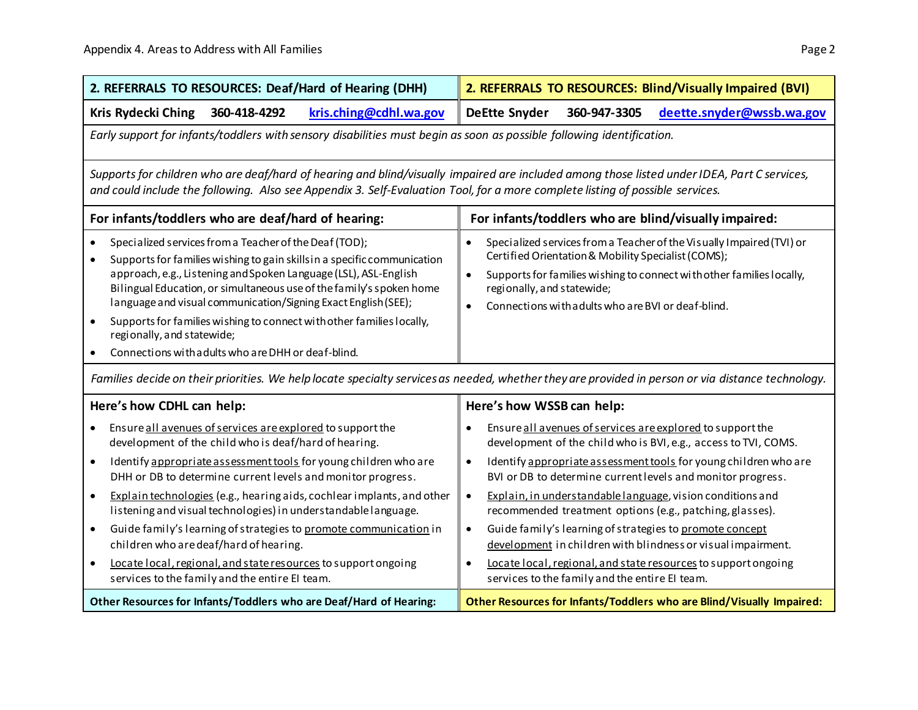| 2. REFERRALS TO RESOURCES: Deaf/Hard of Hearing (DHH)                                                                                                                                                                                                                                                                                                                                                                                                                                                                                                                                                                                                           | 2. REFERRALS TO RESOURCES: Blind/Visually Impaired (BVI)                                                                                                                                                                                                                                                                                                                                                                                                                                                                                                                                                                                                                                       |  |
|-----------------------------------------------------------------------------------------------------------------------------------------------------------------------------------------------------------------------------------------------------------------------------------------------------------------------------------------------------------------------------------------------------------------------------------------------------------------------------------------------------------------------------------------------------------------------------------------------------------------------------------------------------------------|------------------------------------------------------------------------------------------------------------------------------------------------------------------------------------------------------------------------------------------------------------------------------------------------------------------------------------------------------------------------------------------------------------------------------------------------------------------------------------------------------------------------------------------------------------------------------------------------------------------------------------------------------------------------------------------------|--|
| Kris Rydecki Ching<br>360-418-4292<br>kris.ching@cdhl.wa.gov                                                                                                                                                                                                                                                                                                                                                                                                                                                                                                                                                                                                    | <b>DeEtte Snyder</b><br>deette.snyder@wssb.wa.gov<br>360-947-3305                                                                                                                                                                                                                                                                                                                                                                                                                                                                                                                                                                                                                              |  |
| Early support for infants/toddlers with sensory disabilities must begin as soon as possible following identification.                                                                                                                                                                                                                                                                                                                                                                                                                                                                                                                                           |                                                                                                                                                                                                                                                                                                                                                                                                                                                                                                                                                                                                                                                                                                |  |
| Supports for children who are deaf/hard of hearing and blind/visually impaired are included among those listed under IDEA, Part C services,<br>and could include the following. Also see Appendix 3. Self-Evaluation Tool, for a more complete listing of possible services.                                                                                                                                                                                                                                                                                                                                                                                    |                                                                                                                                                                                                                                                                                                                                                                                                                                                                                                                                                                                                                                                                                                |  |
| For infants/toddlers who are deaf/hard of hearing:                                                                                                                                                                                                                                                                                                                                                                                                                                                                                                                                                                                                              | For infants/toddlers who are blind/visually impaired:                                                                                                                                                                                                                                                                                                                                                                                                                                                                                                                                                                                                                                          |  |
| Specialized services from a Teacher of the Deaf (TOD);<br>$\bullet$<br>Supports for families wishing to gain skills in a specific communication<br>approach, e.g., Listening and Spoken Language (LSL), ASL-English<br>Bilingual Education, or simultaneous use of the family's spoken home<br>language and visual communication/Signing Exact English (SEE);<br>Supports for families wishing to connect with other families locally,<br>regionally, and statewide;<br>Connections with adults who are DHH or deaf-blind.                                                                                                                                      | Specialized services from a Teacher of the Visually Impaired (TVI) or<br>$\bullet$<br>Certified Orientation & Mobility Specialist (COMS);<br>Supports for families wishing to connect with other families locally,<br>$\bullet$<br>regionally, and statewide;<br>Connections with adults who are BVI or deaf-blind.<br>$\bullet$                                                                                                                                                                                                                                                                                                                                                               |  |
| Families decide on their priorities. We help locate specialty services as needed, whether they are provided in person or via distance technology.                                                                                                                                                                                                                                                                                                                                                                                                                                                                                                               |                                                                                                                                                                                                                                                                                                                                                                                                                                                                                                                                                                                                                                                                                                |  |
| Here's how CDHL can help:                                                                                                                                                                                                                                                                                                                                                                                                                                                                                                                                                                                                                                       | Here's how WSSB can help:                                                                                                                                                                                                                                                                                                                                                                                                                                                                                                                                                                                                                                                                      |  |
| Ensure all avenues of services are explored to support the<br>development of the child who is deaf/hard of hearing.<br>Identify appropriate assessment tools for young children who are<br>$\bullet$<br>DHH or DB to determine current levels and monitor progress.<br>Explain technologies (e.g., hearing aids, cochlear implants, and other<br>$\bullet$<br>listening and visual technologies) in understandable language.<br>Guide family's learning of strategies to promote communication in<br>children who are deaf/hard of hearing.<br>Locate local, regional, and state resources to support ongoing<br>services to the family and the entire EI team. | Ensure all avenues of services are explored to support the<br>development of the child who is BVI, e.g., access to TVI, COMS.<br>Identify appropriate assessment tools for young children who are<br>$\bullet$<br>BVI or DB to determine current levels and monitor progress.<br>Explain, in understandable language, vision conditions and<br>$\bullet$<br>recommended treatment options (e.g., patching, glasses).<br>Guide family's learning of strategies to promote concept<br>$\bullet$<br>development in children with blindness or visual impairment.<br>Locate local, regional, and state resources to support ongoing<br>$\bullet$<br>services to the family and the entire EI team. |  |
| Other Resources for Infants/Toddlers who are Deaf/Hard of Hearing:                                                                                                                                                                                                                                                                                                                                                                                                                                                                                                                                                                                              | Other Resources for Infants/Toddlers who are Blind/Visually Impaired:                                                                                                                                                                                                                                                                                                                                                                                                                                                                                                                                                                                                                          |  |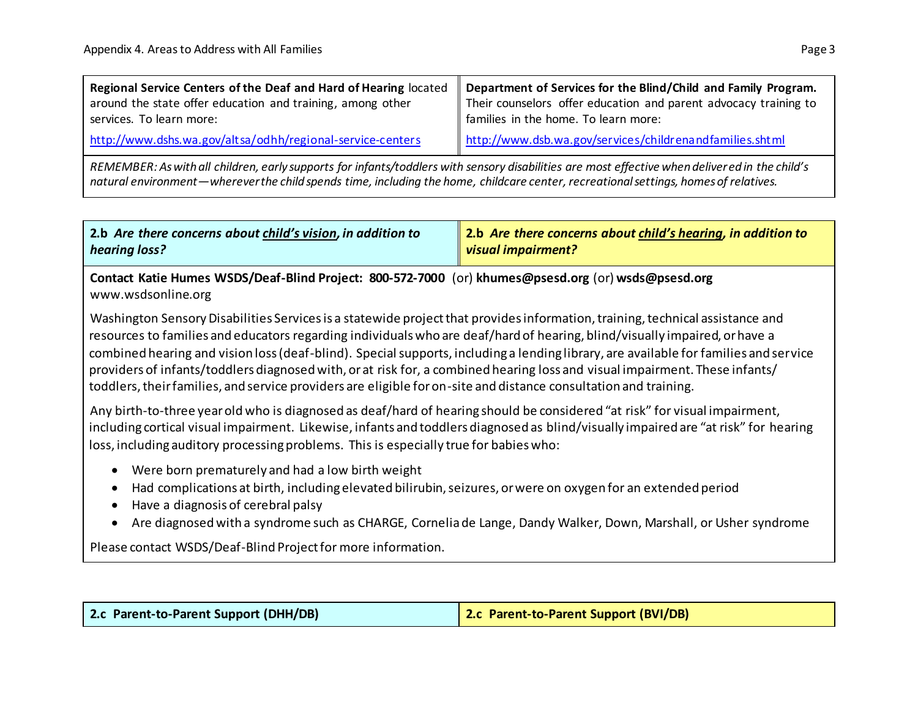| Regional Service Centers of the Deaf and Hard of Hearing located                                                                               | Department of Services for the Blind/Child and Family Program.   |  |
|------------------------------------------------------------------------------------------------------------------------------------------------|------------------------------------------------------------------|--|
| around the state offer education and training, among other                                                                                     | Their counselors offer education and parent advocacy training to |  |
| services. To learn more:                                                                                                                       | families in the home. To learn more:                             |  |
| http://www.dshs.wa.gov/altsa/odhh/regional-service-centers                                                                                     | http://www.dsb.wa.gov/services/childrenandfamilies.shtml         |  |
| REMEMBER: As with all children, early supports for infants/toddlers with sensory disabilities are most effective when delivered in the child's |                                                                  |  |

*natural environment—wherever the child spends time, including the home, childcare center, recreational settings, homes of relatives.*

| $\Box$ 2.b Are there concerns about child's vision, in addition to | 2.b Are there concerns about child's hearing, in addition to |
|--------------------------------------------------------------------|--------------------------------------------------------------|
| hearing loss?                                                      | $\ $ visual impairment?                                      |

**Contact Katie Humes WSDS/Deaf-Blind Project: 800-572-7000** (or) **khumes@psesd.org** (or) **wsds@psesd.org** www.wsdsonline.org

Washington Sensory Disabilities Services is a statewide project that provides information, training, technical assistance and resources to families and educators regarding individuals who are deaf/hard of hearing, blind/visually impaired, or have a combined hearing and vision loss (deaf-blind). Special supports, including a lending library, are available for families and service providers of infants/toddlers diagnosed with, or at risk for, a combined hearing loss and visual impairment. These infants/ toddlers, their families, and service providers are eligible for on-site and distance consultation and training.

Any birth-to-three year old who is diagnosed as deaf/hard of hearing should be considered "at risk" for visual impairment, including cortical visual impairment. Likewise, infants and toddlers diagnosed as blind/visually impaired are "at risk" for hearing loss, including auditory processing problems. This is especially true for babies who:

- Were born prematurely and had a low birth weight
- Had complications at birth, including elevated bilirubin, seizures, or were on oxygen for an extended period
- Have a diagnosis of cerebral palsy
- Are diagnosed with a syndrome such as CHARGE, Cornelia de Lange, Dandy Walker, Down, Marshall, or Usher syndrome

Please contact WSDS/Deaf-Blind Project for more information.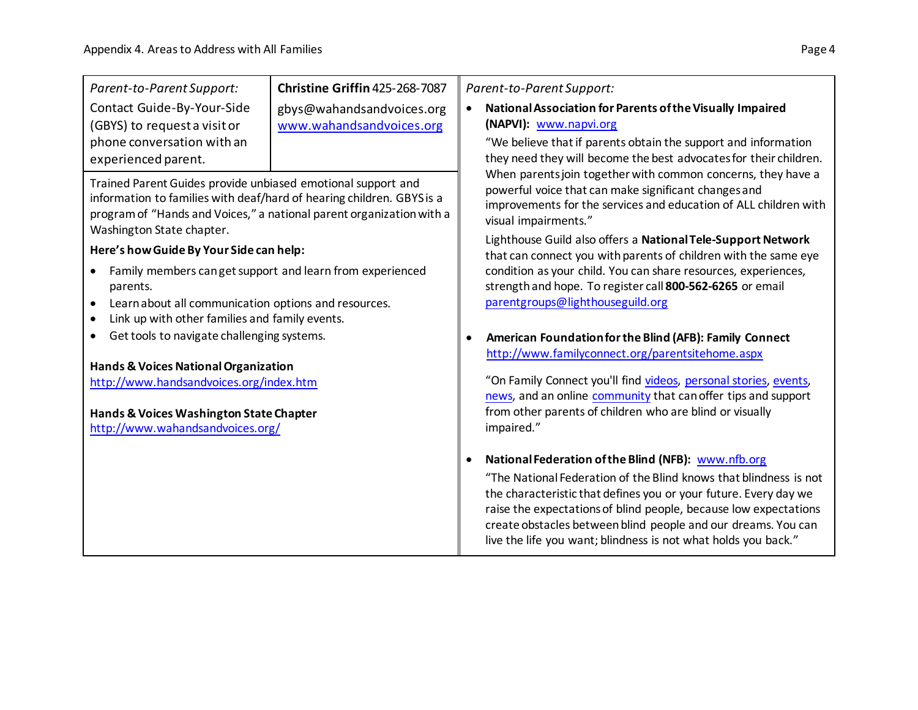| Parent-to-Parent Support:                                                                                                                                                                                                                  | Christine Griffin 425-268-7087                        | Parent-to-Parent Support:                                                                                                                                                                                                                                                                                                                           |
|--------------------------------------------------------------------------------------------------------------------------------------------------------------------------------------------------------------------------------------------|-------------------------------------------------------|-----------------------------------------------------------------------------------------------------------------------------------------------------------------------------------------------------------------------------------------------------------------------------------------------------------------------------------------------------|
| Contact Guide-By-Your-Side<br>(GBYS) to request a visit or                                                                                                                                                                                 | gbys@wahandsandvoices.org<br>www.wahandsandvoices.org | National Association for Parents of the Visually Impaired<br>$\bullet$<br>(NAPVI): www.napvi.org                                                                                                                                                                                                                                                    |
| phone conversation with an<br>experienced parent.                                                                                                                                                                                          |                                                       | "We believe that if parents obtain the support and information<br>they need they will become the best advocates for their children.                                                                                                                                                                                                                 |
| Trained Parent Guides provide unbiased emotional support and<br>information to families with deaf/hard of hearing children. GBYS is a<br>program of "Hands and Voices," a national parent organization with a<br>Washington State chapter. |                                                       | When parents join together with common concerns, they have a<br>powerful voice that can make significant changes and<br>improvements for the services and education of ALL children with<br>visual impairments."<br>Lighthouse Guild also offers a National Tele-Support Network<br>that can connect you with parents of children with the same eye |
| Here's how Guide By Your Side can help:                                                                                                                                                                                                    |                                                       |                                                                                                                                                                                                                                                                                                                                                     |
| Family members can get support and learn from experienced<br>parents.<br>Learn about all communication options and resources.<br>$\bullet$                                                                                                 |                                                       | condition as your child. You can share resources, experiences,<br>strength and hope. To register call 800-562-6265 or email<br>parentgroups@lighthouseguild.org                                                                                                                                                                                     |
| Link up with other families and family events.<br>$\bullet$<br>Get tools to navigate challenging systems.                                                                                                                                  |                                                       | American Foundation for the Blind (AFB): Family Connect                                                                                                                                                                                                                                                                                             |
|                                                                                                                                                                                                                                            |                                                       | http://www.familyconnect.org/parentsitehome.aspx                                                                                                                                                                                                                                                                                                    |
| Hands & Voices National Organization<br>http://www.handsandvoices.org/index.htm                                                                                                                                                            |                                                       | "On Family Connect you'll find videos, personal stories, events,<br>news, and an online community that can offer tips and support                                                                                                                                                                                                                   |
| Hands & Voices Washington State Chapter<br>http://www.wahandsandvoices.org/                                                                                                                                                                |                                                       | from other parents of children who are blind or visually<br>impaired."                                                                                                                                                                                                                                                                              |
|                                                                                                                                                                                                                                            |                                                       | National Federation of the Blind (NFB): www.nfb.org                                                                                                                                                                                                                                                                                                 |
|                                                                                                                                                                                                                                            |                                                       | "The National Federation of the Blind knows that blindness is not<br>the characteristic that defines you or your future. Every day we<br>raise the expectations of blind people, because low expectations<br>create obstacles between blind people and our dreams. You can<br>live the life you want; blindness is not what holds you back."        |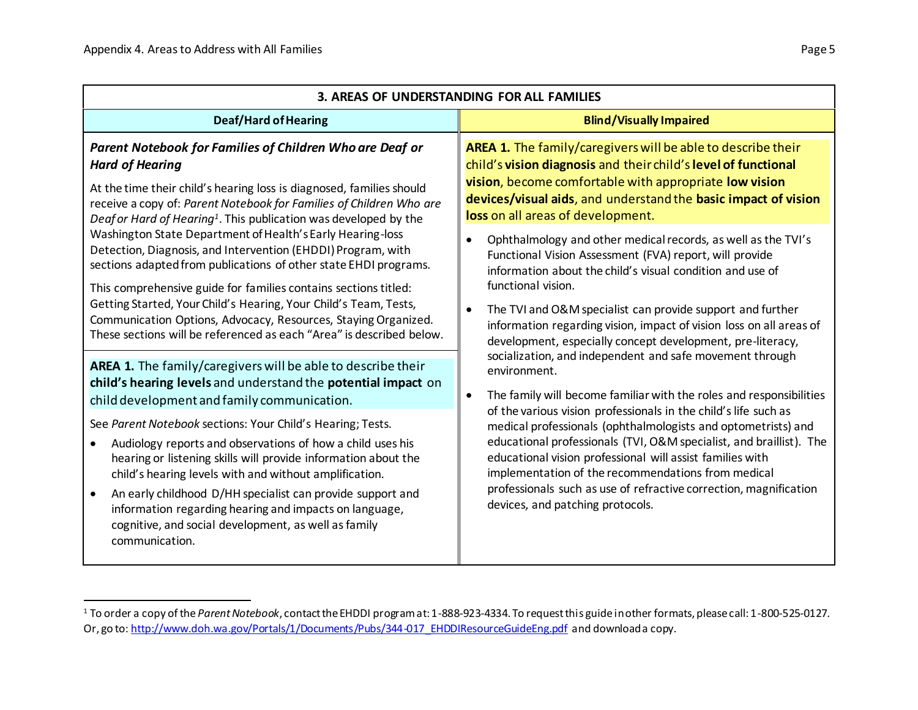$\overline{a}$ 

| 3. AREAS OF UNDERSTANDING FOR ALL FAMILIES                                                                                                                                                                                                                                                                                                                                                                                                                                                                         |                                                                                                                                                                                                                                                                                                                                                                                                                                                                                          |  |
|--------------------------------------------------------------------------------------------------------------------------------------------------------------------------------------------------------------------------------------------------------------------------------------------------------------------------------------------------------------------------------------------------------------------------------------------------------------------------------------------------------------------|------------------------------------------------------------------------------------------------------------------------------------------------------------------------------------------------------------------------------------------------------------------------------------------------------------------------------------------------------------------------------------------------------------------------------------------------------------------------------------------|--|
| <b>Deaf/Hard of Hearing</b>                                                                                                                                                                                                                                                                                                                                                                                                                                                                                        | <b>Blind/Visually Impaired</b>                                                                                                                                                                                                                                                                                                                                                                                                                                                           |  |
| Parent Notebook for Families of Children Who are Deaf or<br><b>Hard of Hearing</b><br>At the time their child's hearing loss is diagnosed, families should<br>receive a copy of: Parent Notebook for Families of Children Who are<br>Deafor Hard of Hearing <sup>1</sup> . This publication was developed by the<br>Washington State Department of Health's Early Hearing-loss<br>Detection, Diagnosis, and Intervention (EHDDI) Program, with<br>sections adapted from publications of other state EHDI programs. | AREA 1. The family/caregivers will be able to describe their<br>child's vision diagnosis and their child's level of functional<br>vision, become comfortable with appropriate low vision<br>devices/visual aids, and understand the basic impact of vision<br>loss on all areas of development.<br>Ophthalmology and other medical records, as well as the TVI's<br>Functional Vision Assessment (FVA) report, will provide<br>information about the child's visual condition and use of |  |
| This comprehensive guide for families contains sections titled:<br>Getting Started, Your Child's Hearing, Your Child's Team, Tests,<br>Communication Options, Advocacy, Resources, Staying Organized.<br>These sections will be referenced as each "Area" is described below.<br>AREA 1. The family/caregivers will be able to describe their                                                                                                                                                                      | functional vision.<br>The TVI and O&M specialist can provide support and further<br>information regarding vision, impact of vision loss on all areas of<br>development, especially concept development, pre-literacy,<br>socialization, and independent and safe movement through<br>environment.                                                                                                                                                                                        |  |
| child's hearing levels and understand the potential impact on<br>child development and family communication.                                                                                                                                                                                                                                                                                                                                                                                                       | The family will become familiar with the roles and responsibilities<br>$\bullet$                                                                                                                                                                                                                                                                                                                                                                                                         |  |
| See Parent Notebook sections: Your Child's Hearing; Tests.<br>Audiology reports and observations of how a child uses his<br>hearing or listening skills will provide information about the<br>child's hearing levels with and without amplification.<br>An early childhood D/HH specialist can provide support and<br>information regarding hearing and impacts on language,<br>cognitive, and social development, as well as family<br>communication.                                                             | of the various vision professionals in the child's life such as<br>medical professionals (ophthalmologists and optometrists) and<br>educational professionals (TVI, O&M specialist, and braillist). The<br>educational vision professional will assist families with<br>implementation of the recommendations from medical<br>professionals such as use of refractive correction, magnification<br>devices, and patching protocols.                                                      |  |

<sup>1</sup> To order a copy of the *Parent Notebook*, contact the EHDDI program at: 1-888-923-4334. To request this guide in other formats, please call: 1-800-525-0127. Or, go to[: http://www.doh.wa.gov/Portals/1/Documents/Pubs/344-017\\_EHDDIResourceGuideEng.pdf](http://www.doh.wa.gov/Portals/1/Documents/Pubs/344-017_EHDDIResourceGuideEng.pdf) and download a copy.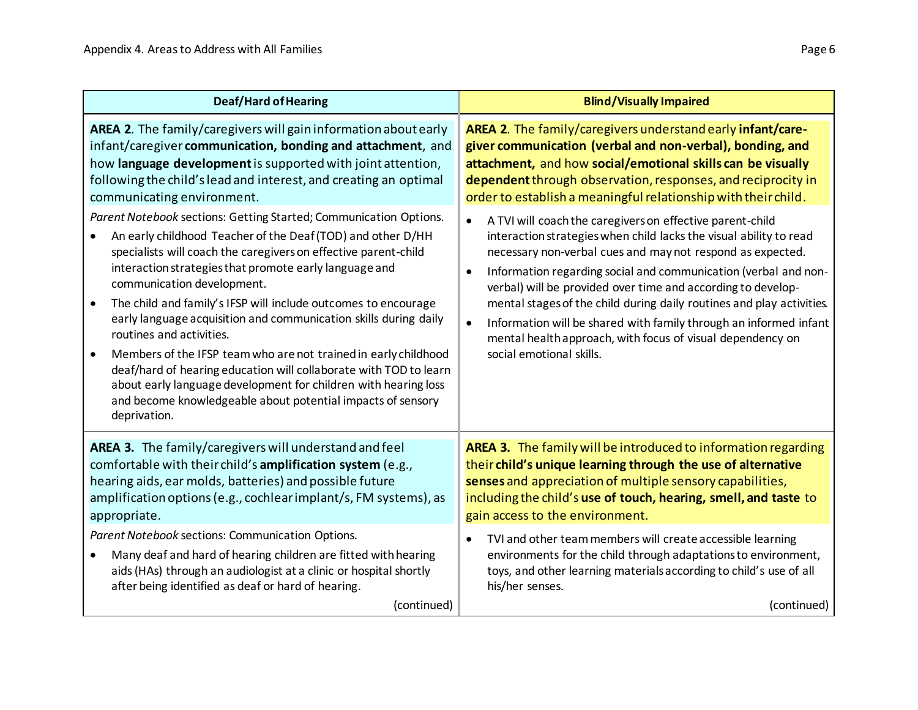| <b>Deaf/Hard of Hearing</b>                                                                                                                                                                                                                                                                                                                                                                                                                                                                                                                                                                                                                                                                                                                                                       | <b>Blind/Visually Impaired</b>                                                                                                                                                                                                                                                                                                                                                                                                                                                                                                                                                                     |  |
|-----------------------------------------------------------------------------------------------------------------------------------------------------------------------------------------------------------------------------------------------------------------------------------------------------------------------------------------------------------------------------------------------------------------------------------------------------------------------------------------------------------------------------------------------------------------------------------------------------------------------------------------------------------------------------------------------------------------------------------------------------------------------------------|----------------------------------------------------------------------------------------------------------------------------------------------------------------------------------------------------------------------------------------------------------------------------------------------------------------------------------------------------------------------------------------------------------------------------------------------------------------------------------------------------------------------------------------------------------------------------------------------------|--|
| AREA 2. The family/caregivers will gain information about early<br>infant/caregiver communication, bonding and attachment, and<br>how language development is supported with joint attention,<br>following the child's lead and interest, and creating an optimal<br>communicating environment.                                                                                                                                                                                                                                                                                                                                                                                                                                                                                   | AREA 2. The family/caregivers understand early infant/care-<br>giver communication (verbal and non-verbal), bonding, and<br>attachment, and how social/emotional skills can be visually<br>dependent through observation, responses, and reciprocity in<br>order to establish a meaningful relationship with their child.                                                                                                                                                                                                                                                                          |  |
| Parent Notebook sections: Getting Started; Communication Options.<br>An early childhood Teacher of the Deaf (TOD) and other D/HH<br>specialists will coach the caregivers on effective parent-child<br>interaction strategies that promote early language and<br>communication development.<br>The child and family's IFSP will include outcomes to encourage<br>$\bullet$<br>early language acquisition and communication skills during daily<br>routines and activities.<br>Members of the IFSP team who are not trained in early childhood<br>$\bullet$<br>deaf/hard of hearing education will collaborate with TOD to learn<br>about early language development for children with hearing loss<br>and become knowledgeable about potential impacts of sensory<br>deprivation. | A TVI will coach the caregivers on effective parent-child<br>$\bullet$<br>interaction strategies when child lacks the visual ability to read<br>necessary non-verbal cues and may not respond as expected.<br>Information regarding social and communication (verbal and non-<br>verbal) will be provided over time and according to develop-<br>mental stages of the child during daily routines and play activities.<br>Information will be shared with family through an informed infant<br>$\bullet$<br>mental health approach, with focus of visual dependency on<br>social emotional skills. |  |
| AREA 3. The family/caregivers will understand and feel<br>comfortable with their child's amplification system (e.g.,<br>hearing aids, ear molds, batteries) and possible future<br>amplification options (e.g., cochlear implant/s, FM systems), as<br>appropriate.<br>Parent Notebook sections: Communication Options.<br>Many deaf and hard of hearing children are fitted with hearing<br>$\bullet$<br>aids (HAs) through an audiologist at a clinic or hospital shortly<br>after being identified as deaf or hard of hearing.                                                                                                                                                                                                                                                 | AREA 3. The family will be introduced to information regarding<br>their child's unique learning through the use of alternative<br>senses and appreciation of multiple sensory capabilities,<br>including the child's use of touch, hearing, smell, and taste to<br>gain access to the environment.<br>TVI and other team members will create accessible learning<br>environments for the child through adaptations to environment,<br>toys, and other learning materials according to child's use of all<br>his/her senses.                                                                        |  |
| (continued)                                                                                                                                                                                                                                                                                                                                                                                                                                                                                                                                                                                                                                                                                                                                                                       | (continued)                                                                                                                                                                                                                                                                                                                                                                                                                                                                                                                                                                                        |  |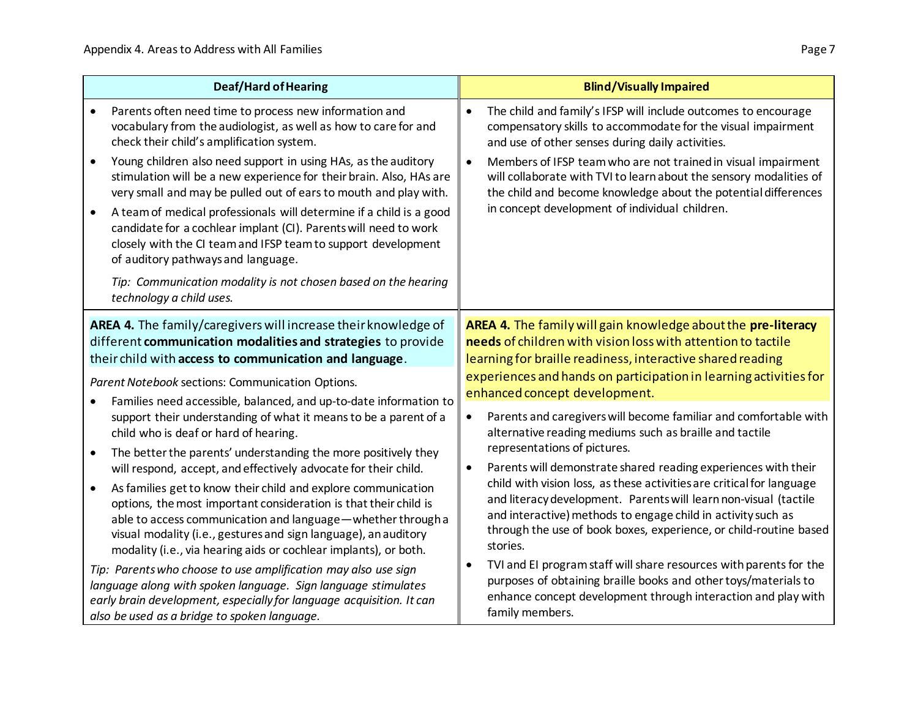| <b>Deaf/Hard of Hearing</b>                      |                                                                                                                                                                                                                                                                                                                                                                                                                                                                                                                                                           |                                                                                                    | <b>Blind/Visually Impaired</b>                                                                                                                                                                                                                                                                                                                               |
|--------------------------------------------------|-----------------------------------------------------------------------------------------------------------------------------------------------------------------------------------------------------------------------------------------------------------------------------------------------------------------------------------------------------------------------------------------------------------------------------------------------------------------------------------------------------------------------------------------------------------|----------------------------------------------------------------------------------------------------|--------------------------------------------------------------------------------------------------------------------------------------------------------------------------------------------------------------------------------------------------------------------------------------------------------------------------------------------------------------|
|                                                  | Parents often need time to process new information and<br>vocabulary from the audiologist, as well as how to care for and<br>check their child's amplification system.                                                                                                                                                                                                                                                                                                                                                                                    | $\bullet$                                                                                          | The child and family's IFSP will include outcomes to encourage<br>compensatory skills to accommodate for the visual impairment<br>and use of other senses during daily activities.                                                                                                                                                                           |
| $\bullet$                                        | Young children also need support in using HAs, as the auditory<br>stimulation will be a new experience for their brain. Also, HAs are<br>very small and may be pulled out of ears to mouth and play with.<br>A team of medical professionals will determine if a child is a good<br>candidate for a cochlear implant (CI). Parents will need to work<br>closely with the CI team and IFSP team to support development<br>of auditory pathways and language.<br>Tip: Communication modality is not chosen based on the hearing<br>technology a child uses. | $\bullet$                                                                                          | Members of IFSP team who are not trained in visual impairment<br>will collaborate with TVI to learn about the sensory modalities of<br>the child and become knowledge about the potential differences<br>in concept development of individual children.                                                                                                      |
|                                                  | AREA 4. The family/caregivers will increase their knowledge of<br>different communication modalities and strategies to provide<br>their child with access to communication and language.                                                                                                                                                                                                                                                                                                                                                                  |                                                                                                    | AREA 4. The family will gain knowledge about the pre-literacy<br>needs of children with vision loss with attention to tactile<br>learning for braille readiness, interactive shared reading                                                                                                                                                                  |
| Parent Notebook sections: Communication Options. |                                                                                                                                                                                                                                                                                                                                                                                                                                                                                                                                                           | experiences and hands on participation in learning activities for<br>enhanced concept development. |                                                                                                                                                                                                                                                                                                                                                              |
| $\bullet$                                        | Families need accessible, balanced, and up-to-date information to<br>support their understanding of what it means to be a parent of a<br>child who is deaf or hard of hearing.<br>The better the parents' understanding the more positively they                                                                                                                                                                                                                                                                                                          | $\bullet$                                                                                          | Parents and caregivers will become familiar and comfortable with<br>alternative reading mediums such as braille and tactile<br>representations of pictures.                                                                                                                                                                                                  |
| $\bullet$                                        | will respond, accept, and effectively advocate for their child.<br>As families get to know their child and explore communication<br>options, the most important consideration is that their child is<br>able to access communication and language - whether through a<br>visual modality (i.e., gestures and sign language), an auditory<br>modality (i.e., via hearing aids or cochlear implants), or both.                                                                                                                                              | $\bullet$                                                                                          | Parents will demonstrate shared reading experiences with their<br>child with vision loss, as these activities are critical for language<br>and literacy development. Parents will learn non-visual (tactile<br>and interactive) methods to engage child in activity such as<br>through the use of book boxes, experience, or child-routine based<br>stories. |
|                                                  | Tip: Parents who choose to use amplification may also use sign<br>language along with spoken language. Sign language stimulates<br>early brain development, especially for language acquisition. It can<br>also be used as a bridge to spoken language.                                                                                                                                                                                                                                                                                                   | $\bullet$                                                                                          | TVI and EI program staff will share resources with parents for the<br>purposes of obtaining braille books and other toys/materials to<br>enhance concept development through interaction and play with<br>family members.                                                                                                                                    |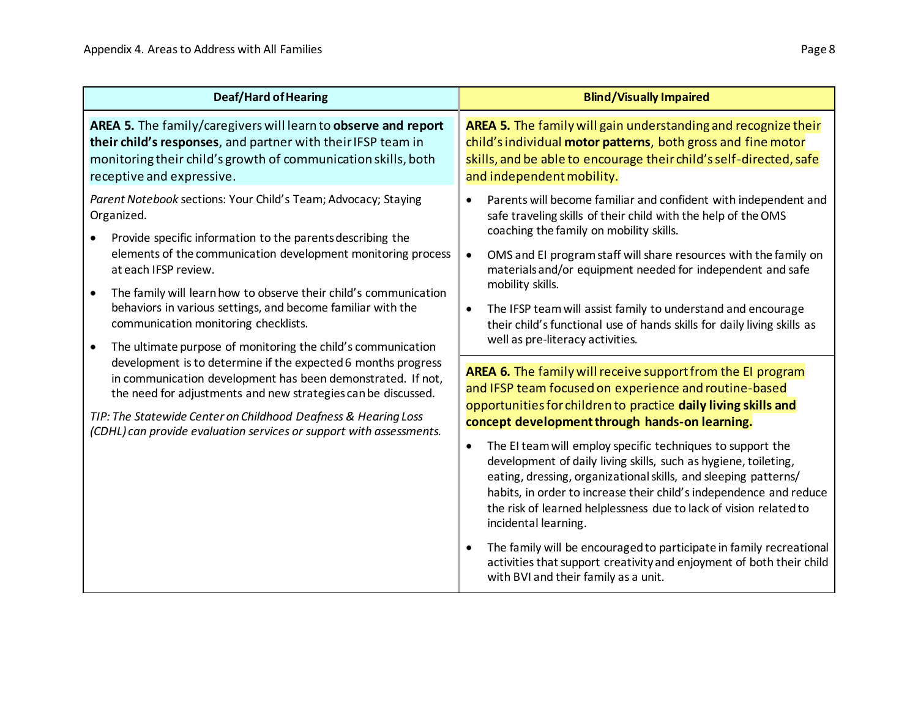| <b>Deaf/Hard of Hearing</b>                                                                                                                                                                                                                                                                                                                                                                                                                                                                                                                                                                                                                                                                                                                                                                                             | <b>Blind/Visually Impaired</b>                                                                                                                                                                                                                                                                                                                                                                                                                                                                                                                                                                                  |
|-------------------------------------------------------------------------------------------------------------------------------------------------------------------------------------------------------------------------------------------------------------------------------------------------------------------------------------------------------------------------------------------------------------------------------------------------------------------------------------------------------------------------------------------------------------------------------------------------------------------------------------------------------------------------------------------------------------------------------------------------------------------------------------------------------------------------|-----------------------------------------------------------------------------------------------------------------------------------------------------------------------------------------------------------------------------------------------------------------------------------------------------------------------------------------------------------------------------------------------------------------------------------------------------------------------------------------------------------------------------------------------------------------------------------------------------------------|
| AREA 5. The family/caregivers will learn to observe and report<br>their child's responses, and partner with their IFSP team in<br>monitoring their child's growth of communication skills, both<br>receptive and expressive.                                                                                                                                                                                                                                                                                                                                                                                                                                                                                                                                                                                            | <b>AREA 5.</b> The family will gain understanding and recognize their<br>child's individual motor patterns, both gross and fine motor<br>skills, and be able to encourage their child's self-directed, safe<br>and independent mobility.                                                                                                                                                                                                                                                                                                                                                                        |
| Parent Notebook sections: Your Child's Team; Advocacy; Staying<br>Organized.<br>Provide specific information to the parents describing the<br>elements of the communication development monitoring process<br>at each IFSP review.<br>The family will learn how to observe their child's communication<br>behaviors in various settings, and become familiar with the<br>communication monitoring checklists.<br>The ultimate purpose of monitoring the child's communication<br>development is to determine if the expected 6 months progress<br>in communication development has been demonstrated. If not,<br>the need for adjustments and new strategies can be discussed.<br>TIP: The Statewide Center on Childhood Deafness & Hearing Loss<br>(CDHL) can provide evaluation services or support with assessments. | Parents will become familiar and confident with independent and<br>safe traveling skills of their child with the help of the OMS<br>coaching the family on mobility skills.<br>OMS and EI program staff will share resources with the family on<br>$\bullet$<br>materials and/or equipment needed for independent and safe<br>mobility skills.<br>The IFSP team will assist family to understand and encourage<br>their child's functional use of hands skills for daily living skills as<br>well as pre-literacy activities.                                                                                   |
|                                                                                                                                                                                                                                                                                                                                                                                                                                                                                                                                                                                                                                                                                                                                                                                                                         | AREA 6. The family will receive support from the EI program<br>and IFSP team focused on experience and routine-based<br>opportunities for children to practice daily living skills and<br>concept development through hands-on learning.<br>The EI team will employ specific techniques to support the<br>development of daily living skills, such as hygiene, toileting,<br>eating, dressing, organizational skills, and sleeping patterns/<br>habits, in order to increase their child's independence and reduce<br>the risk of learned helplessness due to lack of vision related to<br>incidental learning. |
|                                                                                                                                                                                                                                                                                                                                                                                                                                                                                                                                                                                                                                                                                                                                                                                                                         | The family will be encouraged to participate in family recreational<br>activities that support creativity and enjoyment of both their child<br>with BVI and their family as a unit.                                                                                                                                                                                                                                                                                                                                                                                                                             |